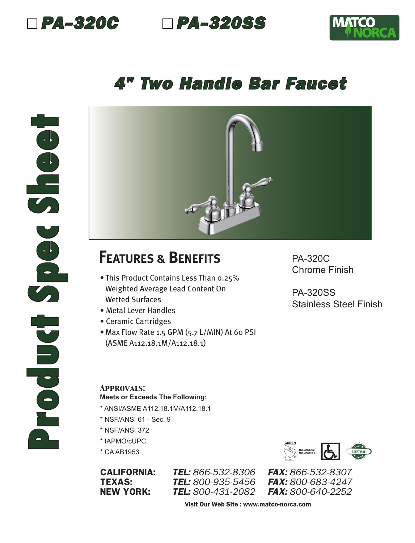



## *4" Two Handle Bar Faucet*



## **FEATURES & BENEFITS**

- This Product Contains Less Than 0.25% Weighted Average Lead Content On Wetted Surfaces
- Metal Lever Handles
- Ceramic Cartridges
- Max Flow Rate 1.5 GPM (5.7 L/MIN) At 60 PSI (ASME A112.18.1M/A112.18.1)

PA-320C Chrome Finish

PA-320SS Stainless Steel Finish

## *Approvals:* **Meets or Exceeds The Following:**

- \* ANSI/ASME A112.18.1M/A112.18.1
- \* NSF/ANSI 61 Sec. 9
- \* NSF/ANSI 372
- \* IAPMO/cUPC
- \* CA AB1953

**TEL:** 800-935-5456



CALIFORNIA: *TEL: 866-532-8306 FAX: 866-532-8307* NEW YORK: *TEL: 800-431-2082 FAX: 800-640-2252*

Visit Our Web Site : www.matco-norca.com